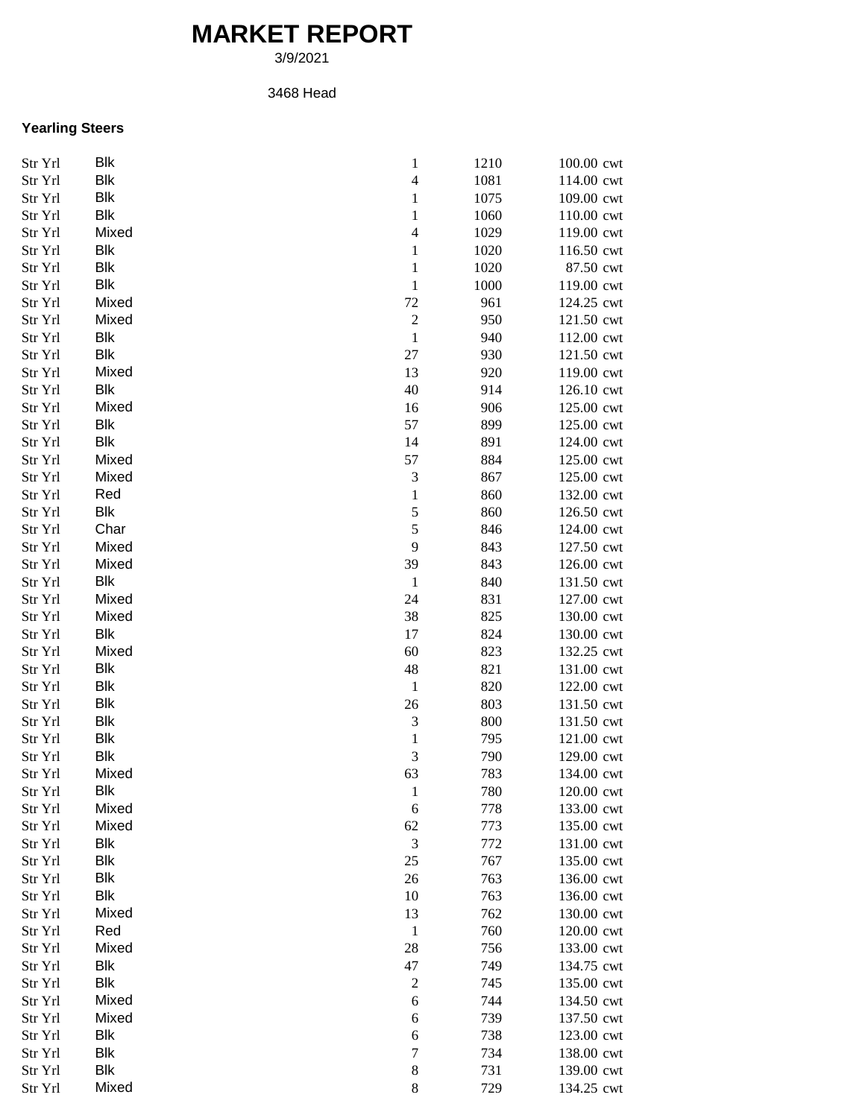## **MARKET REPORT**

3/9/2021

## 3468 Head

## **Yearling Steers**

| Str Yrl | <b>Blk</b> | $\mathbf{1}$     | 1210 | 100.00 cwt               |
|---------|------------|------------------|------|--------------------------|
| Str Yrl | <b>Blk</b> | $\overline{4}$   | 1081 | 114.00 cwt               |
| Str Yrl | Blk        | $\mathbf{1}$     | 1075 | 109.00 cwt               |
| Str Yrl | Blk        | $\mathbf{1}$     | 1060 | 110.00 cwt               |
| Str Yrl | Mixed      | $\overline{4}$   | 1029 | 119.00 cwt               |
| Str Yrl | Blk        | $\mathbf{1}$     | 1020 | 116.50 cwt               |
| Str Yrl | Blk        | $\mathbf{1}$     | 1020 | 87.50 cwt                |
| Str Yrl | Blk        | $\mathbf{1}$     | 1000 | 119.00 cwt               |
| Str Yrl | Mixed      | 72               | 961  | 124.25 cwt               |
| Str Yrl | Mixed      | $\overline{c}$   | 950  | 121.50 cwt               |
| Str Yrl | Blk        | $\,1\,$          | 940  | 112.00 cwt               |
| Str Yrl | Blk        | 27               | 930  | 121.50 cwt               |
| Str Yrl | Mixed      | 13               | 920  | 119.00 cwt               |
| Str Yrl | Blk        | 40               | 914  | 126.10 cwt               |
| Str Yrl | Mixed      | 16               | 906  | 125.00 cwt               |
| Str Yrl | Blk        | 57               | 899  | 125.00 cwt               |
| Str Yrl | <b>Blk</b> | 14               | 891  | 124.00 cwt               |
| Str Yrl | Mixed      | 57               | 884  | 125.00 cwt               |
|         | Mixed      |                  | 867  |                          |
| Str Yrl | Red        | 3                | 860  | 125.00 cwt<br>132.00 cwt |
| Str Yrl | Blk        | $\mathbf{1}$     |      |                          |
| Str Yrl |            | 5                | 860  | 126.50 cwt               |
| Str Yrl | Char       | 5                | 846  | 124.00 cwt               |
| Str Yrl | Mixed      | 9                | 843  | 127.50 cwt               |
| Str Yrl | Mixed      | 39               | 843  | 126.00 cwt               |
| Str Yrl | Blk        | $\mathbf{1}$     | 840  | 131.50 cwt               |
| Str Yrl | Mixed      | 24               | 831  | 127.00 cwt               |
| Str Yrl | Mixed      | 38               | 825  | 130.00 cwt               |
| Str Yrl | Blk        | 17               | 824  | 130.00 cwt               |
| Str Yrl | Mixed      | 60               | 823  | 132.25 cwt               |
| Str Yrl | Blk        | 48               | 821  | 131.00 cwt               |
| Str Yrl | <b>Blk</b> | $\,1\,$          | 820  | 122.00 cwt               |
| Str Yrl | <b>Blk</b> | 26               | 803  | 131.50 cwt               |
| Str Yrl | <b>Blk</b> | 3                | 800  | 131.50 cwt               |
| Str Yrl | <b>Blk</b> | $\mathbf{1}$     | 795  | 121.00 cwt               |
| Str Yrl | Blk        | $\mathfrak{Z}$   | 790  | 129.00 cwt               |
| Str Yrl | Mixed      | 63               | 783  | 134.00 cwt               |
| Str Yrl | Blk        | $\mathbf{1}$     | 780  | 120.00 cwt               |
| Str Yrl | Mixed      | 6                | 778  | 133.00 cwt               |
| Str Yrl | Mixed      | 62               | 773  | 135.00 cwt               |
| Str Yrl | Blk        | $\mathfrak{Z}$   | 772  | 131.00 cwt               |
| Str Yrl | Blk        | 25               | 767  | 135.00 cwt               |
| Str Yrl | Blk        | 26               | 763  | 136.00 cwt               |
| Str Yrl | <b>Blk</b> | 10               | 763  | 136.00 cwt               |
| Str Yrl | Mixed      | 13               | 762  | 130.00 cwt               |
| Str Yrl | Red        | $\mathbf{1}$     | 760  | 120.00 cwt               |
| Str Yrl | Mixed      | 28               | 756  | 133.00 cwt               |
| Str Yrl | Blk        | 47               | 749  | 134.75 cwt               |
| Str Yrl | <b>Blk</b> | $\sqrt{2}$       | 745  | 135.00 cwt               |
| Str Yrl | Mixed      | 6                | 744  | 134.50 cwt               |
| Str Yrl | Mixed      | 6                | 739  | 137.50 cwt               |
| Str Yrl | Blk        | 6                | 738  | 123.00 cwt               |
| Str Yrl | <b>Blk</b> | $\boldsymbol{7}$ | 734  | 138.00 cwt               |
| Str Yrl | Blk        | $\,8\,$          | 731  | 139.00 cwt               |
| Str Yrl | Mixed      | $\,8\,$          | 729  | 134.25 cwt               |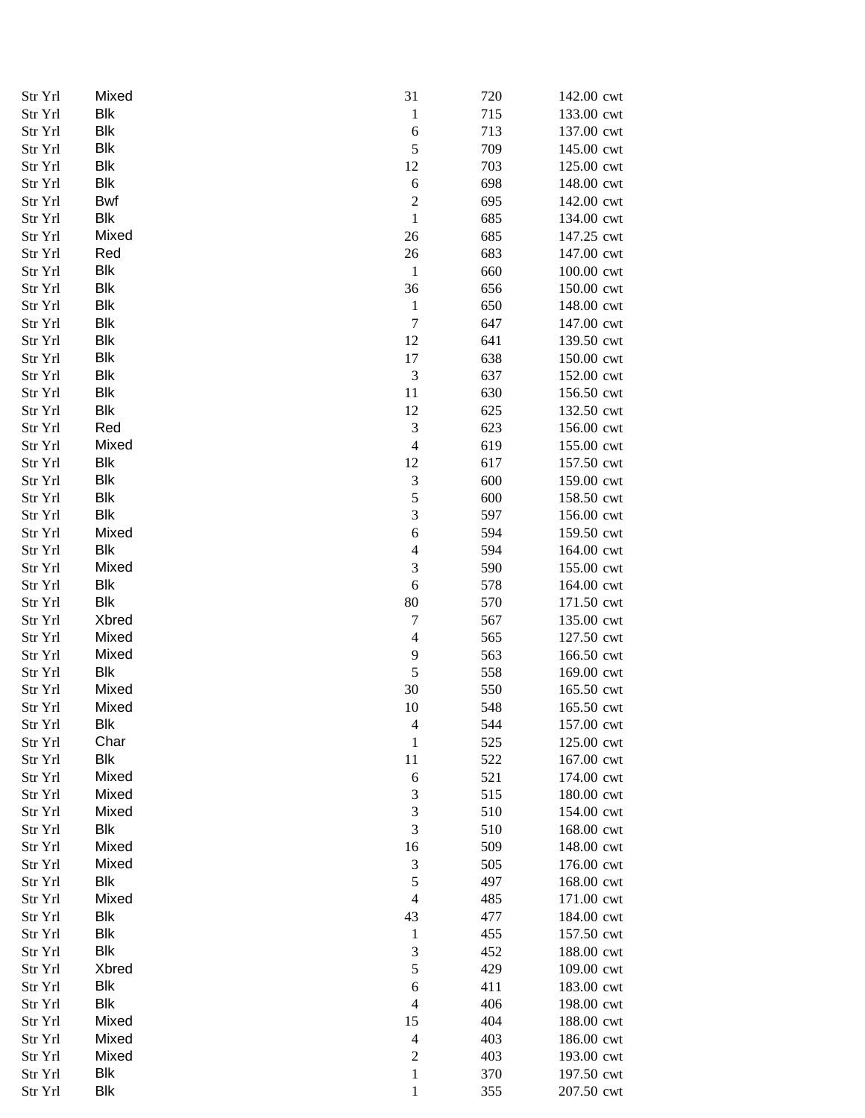| Str Yrl | Mixed        | 31                          | 720 | 142.00 cwt |
|---------|--------------|-----------------------------|-----|------------|
| Str Yrl | <b>Blk</b>   | $\mathbf{1}$                | 715 | 133.00 cwt |
| Str Yrl | <b>Blk</b>   | $\sqrt{6}$                  | 713 | 137.00 cwt |
| Str Yrl | <b>Blk</b>   | 5                           | 709 | 145.00 cwt |
| Str Yrl | Blk          | 12                          | 703 | 125.00 cwt |
| Str Yrl | Blk          | $\sqrt{6}$                  | 698 | 148.00 cwt |
| Str Yrl | Bwf          | $\boldsymbol{2}$            | 695 | 142.00 cwt |
| Str Yrl | Blk          | $\mathbf{1}$                | 685 | 134.00 cwt |
| Str Yrl | Mixed        | 26                          | 685 | 147.25 cwt |
| Str Yrl | Red          | $26\,$                      | 683 | 147.00 cwt |
| Str Yrl | Blk          | $\mathbf{1}$                | 660 | 100.00 cwt |
| Str Yrl | <b>Blk</b>   | 36                          | 656 | 150.00 cwt |
| Str Yrl | Blk          | $\mathbf{1}$                | 650 | 148.00 cwt |
| Str Yrl | Blk          | $\boldsymbol{7}$            | 647 | 147.00 cwt |
| Str Yrl | Blk          | 12                          | 641 | 139.50 cwt |
| Str Yrl | <b>Blk</b>   | 17                          | 638 | 150.00 cwt |
| Str Yrl | <b>Blk</b>   | $\ensuremath{\mathfrak{Z}}$ | 637 | 152.00 cwt |
| Str Yrl | <b>Blk</b>   | 11                          | 630 | 156.50 cwt |
| Str Yrl | Blk          | 12                          | 625 | 132.50 cwt |
| Str Yrl | Red          | $\ensuremath{\mathfrak{Z}}$ | 623 | 156.00 cwt |
| Str Yrl | Mixed        | $\overline{4}$              | 619 | 155.00 cwt |
| Str Yrl | <b>Blk</b>   | 12                          | 617 | 157.50 cwt |
| Str Yrl | <b>Blk</b>   | $\ensuremath{\mathfrak{Z}}$ | 600 | 159.00 cwt |
| Str Yrl | <b>Blk</b>   | $\sqrt{5}$                  | 600 | 158.50 cwt |
| Str Yrl | Blk          | $\mathfrak{Z}$              | 597 | 156.00 cwt |
| Str Yrl | Mixed        | $\boldsymbol{6}$            | 594 | 159.50 cwt |
| Str Yrl | Blk          | $\overline{\mathcal{L}}$    | 594 | 164.00 cwt |
|         | Mixed        | $\mathfrak 3$               |     |            |
| Str Yrl | <b>Blk</b>   |                             | 590 | 155.00 cwt |
| Str Yrl |              | 6                           | 578 | 164.00 cwt |
| Str Yrl | Blk          | 80                          | 570 | 171.50 cwt |
| Str Yrl | <b>Xbred</b> | $\boldsymbol{7}$            | 567 | 135.00 cwt |
| Str Yrl | Mixed        | $\overline{4}$              | 565 | 127.50 cwt |
| Str Yrl | Mixed        | $\mathbf{9}$                | 563 | 166.50 cwt |
| Str Yrl | Blk          | 5                           | 558 | 169.00 cwt |
| Str Yrl | Mixed        | 30                          | 550 | 165.50 cwt |
| Str Yrl | Mixed        | 10                          | 548 | 165.50 cwt |
| Str Yrl | <b>Blk</b>   | 4                           | 544 | 157.00 cwt |
| Str Yrl | Char         | $\mathbf{1}$                | 525 | 125.00 cwt |
| Str Yrl | <b>Blk</b>   | 11                          | 522 | 167.00 cwt |
| Str Yrl | Mixed        | 6                           | 521 | 174.00 cwt |
| Str Yrl | Mixed        | $\mathfrak 3$               | 515 | 180.00 cwt |
| Str Yrl | Mixed        | $\mathfrak 3$               | 510 | 154.00 cwt |
| Str Yrl | Blk          | $\mathfrak 3$               | 510 | 168.00 cwt |
| Str Yrl | Mixed        | 16                          | 509 | 148.00 cwt |
| Str Yrl | Mixed        | $\ensuremath{\mathfrak{Z}}$ | 505 | 176.00 cwt |
| Str Yrl | Blk          | $\sqrt{5}$                  | 497 | 168.00 cwt |
| Str Yrl | Mixed        | $\overline{4}$              | 485 | 171.00 cwt |
| Str Yrl | Blk          | 43                          | 477 | 184.00 cwt |
| Str Yrl | Blk          | $\mathbf{1}$                | 455 | 157.50 cwt |
| Str Yrl | Blk          | $\ensuremath{\mathfrak{Z}}$ | 452 | 188.00 cwt |
| Str Yrl | Xbred        | 5                           | 429 | 109.00 cwt |
| Str Yrl | Blk          | 6                           | 411 | 183.00 cwt |
| Str Yrl | <b>Blk</b>   | $\overline{4}$              | 406 | 198.00 cwt |
| Str Yrl | Mixed        | 15                          | 404 | 188.00 cwt |
| Str Yrl | Mixed        | $\overline{4}$              | 403 | 186.00 cwt |
| Str Yrl | Mixed        | $\boldsymbol{2}$            | 403 | 193.00 cwt |
| Str Yrl | Blk          | $\mathbf 1$                 | 370 | 197.50 cwt |
| Str Yrl | Blk          | $\mathbf{1}$                | 355 | 207.50 cwt |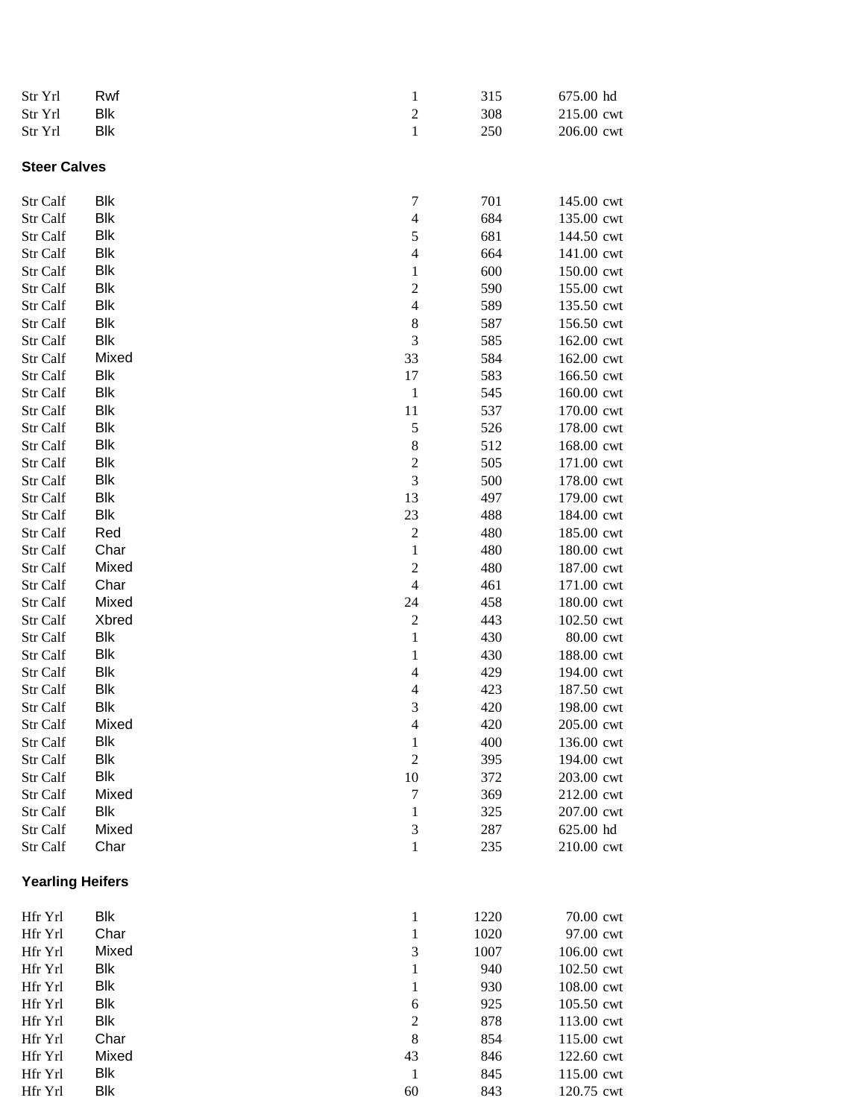| Str Yrl | Rwf | 315 | 675.00 hd  |
|---------|-----|-----|------------|
| Str Yrl | Blk | 308 | 215.00 cwt |
| Str Yrl | Blk | 250 | 206.00 cwt |

**Steer Calves**

| Str Calf                | <b>Blk</b> | 7                       | 701  | 145.00 cwt |
|-------------------------|------------|-------------------------|------|------------|
| Str Calf                | <b>Blk</b> | $\overline{4}$          | 684  | 135.00 cwt |
| Str Calf                | Blk        | 5                       | 681  | 144.50 cwt |
| Str Calf                | Blk        | $\overline{4}$          | 664  | 141.00 cwt |
| Str Calf                | Blk        | $\mathbf{1}$            | 600  | 150.00 cwt |
| Str Calf                | Blk        | $\boldsymbol{2}$        | 590  | 155.00 cwt |
| Str Calf                | Blk        | $\overline{4}$          | 589  | 135.50 cwt |
| Str Calf                | <b>Blk</b> | $\,8\,$                 | 587  | 156.50 cwt |
| Str Calf                | <b>Blk</b> | 3                       | 585  | 162.00 cwt |
| Str Calf                | Mixed      | 33                      | 584  | 162.00 cwt |
| Str Calf                | Blk        | 17                      | 583  | 166.50 cwt |
| Str Calf                | <b>Blk</b> | $\mathbf{1}$            | 545  | 160.00 cwt |
| Str Calf                | Blk        | 11                      | 537  | 170.00 cwt |
| Str Calf                | Blk        | 5                       | 526  | 178.00 cwt |
| Str Calf                | Blk        | $\,$ 8 $\,$             | 512  | 168.00 cwt |
| Str Calf                | Blk        | $\overline{c}$          | 505  | 171.00 cwt |
| Str Calf                | Blk        | $\mathfrak{Z}$          | 500  | 178.00 cwt |
| Str Calf                | <b>Blk</b> | 13                      | 497  | 179.00 cwt |
| Str Calf                | <b>Blk</b> | 23                      | 488  | 184.00 cwt |
| Str Calf                | Red        | $\overline{\mathbf{c}}$ | 480  | 185.00 cwt |
| Str Calf                | Char       | $\,1$                   | 480  | 180.00 cwt |
| Str Calf                | Mixed      | $\overline{c}$          | 480  | 187.00 cwt |
| Str Calf                | Char       | $\overline{4}$          | 461  | 171.00 cwt |
| Str Calf                | Mixed      | 24                      | 458  | 180.00 cwt |
| Str Calf                | Xbred      | $\sqrt{2}$              | 443  | 102.50 cwt |
| Str Calf                | <b>Blk</b> | $\,1$                   | 430  | 80.00 cwt  |
| Str Calf                | <b>Blk</b> | $\mathbf{1}$            | 430  | 188.00 cwt |
| Str Calf                | <b>Blk</b> | $\overline{4}$          | 429  | 194.00 cwt |
| Str Calf                | <b>Blk</b> | $\overline{4}$          | 423  | 187.50 cwt |
| Str Calf                | Blk        | $\mathfrak 3$           | 420  | 198.00 cwt |
| Str Calf                | Mixed      | $\overline{4}$          | 420  | 205.00 cwt |
| Str Calf                | Blk        | $\mathbf{1}$            | 400  | 136.00 cwt |
| Str Calf                | Blk        | $\overline{2}$          | 395  | 194.00 cwt |
| Str Calf                | Blk        | 10                      | 372  | 203.00 cwt |
| Str Calf                | Mixed      | $\sqrt{ }$              | 369  | 212.00 cwt |
| Str Calf                | Blk        | $\mathbf 1$             | 325  | 207.00 cwt |
| Str Calf                | Mixed      | 3                       | 287  | 625.00 hd  |
| Str Calf                | Char       | $\mathbf{1}$            | 235  | 210.00 cwt |
| <b>Yearling Heifers</b> |            |                         |      |            |
| Hfr Yrl                 | Blk        | $\mathbf{1}$            | 1220 | 70.00 cwt  |
| Hfr Yrl                 | Char       | $\mathbf{1}$            | 1020 | 97.00 cwt  |
| Hfr Yrl                 | Mixed      | 3                       | 1007 | 106.00 cwt |
| Hfr Yrl                 | Blk        | 1                       | 940  | 102.50 cwt |
| Hfr Yrl                 | Blk        | 1                       | 930  | 108.00 cwt |
| Hfr Yrl                 | Blk        | 6                       | 925  | 105.50 cwt |
| Hfr Yrl                 | Blk        | $\overline{c}$          | 878  | 113.00 cwt |
| Hfr Yrl                 | Char       | 8                       | 854  | 115.00 cwt |
| Hfr Yrl                 | Mixed      | 43                      | 846  | 122.60 cwt |
| Hfr Yrl                 | Blk        | 1                       | 845  | 115.00 cwt |
| Hfr Yrl                 | Blk        | 60                      | 843  | 120.75 cwt |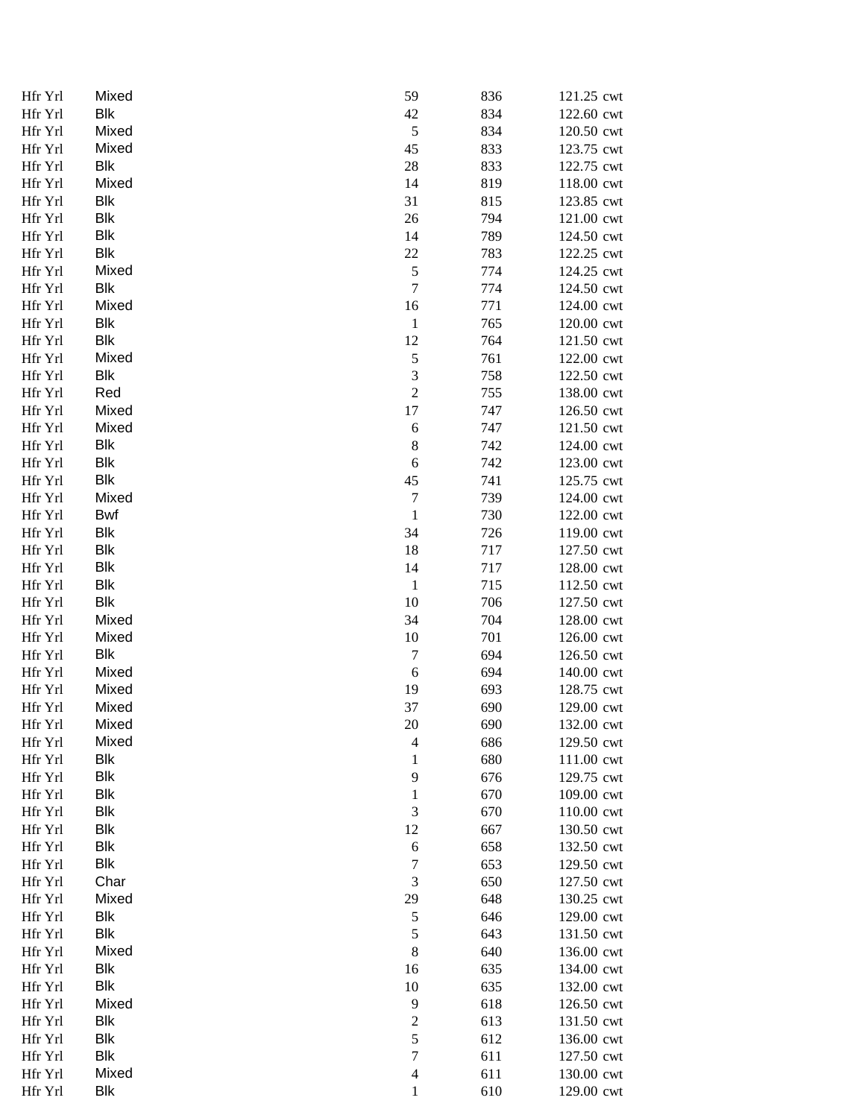| Hfr Yrl | Mixed      | 59                          | 836 | 121.25 cwt |
|---------|------------|-----------------------------|-----|------------|
| Hfr Yrl | Blk        | 42                          | 834 | 122.60 cwt |
| Hfr Yrl | Mixed      | $\mathfrak s$               | 834 | 120.50 cwt |
| Hfr Yrl | Mixed      | 45                          | 833 | 123.75 cwt |
| Hfr Yrl | Blk        | 28                          | 833 | 122.75 cwt |
| Hfr Yrl | Mixed      | 14                          | 819 | 118.00 cwt |
| Hfr Yrl | Blk        | 31                          | 815 | 123.85 cwt |
| Hfr Yrl | Blk        | 26                          | 794 | 121.00 cwt |
| Hfr Yrl | Blk        | 14                          | 789 | 124.50 cwt |
| Hfr Yrl | Blk        | $22\,$                      | 783 | 122.25 cwt |
| Hfr Yrl | Mixed      | $\sqrt{5}$                  | 774 | 124.25 cwt |
| Hfr Yrl | Blk        | $\tau$                      | 774 | 124.50 cwt |
| Hfr Yrl | Mixed      | 16                          | 771 | 124.00 cwt |
| Hfr Yrl | Blk        | $\mathbf{1}$                | 765 | 120.00 cwt |
| Hfr Yrl | Blk        | 12                          | 764 | 121.50 cwt |
| Hfr Yrl | Mixed      | $\sqrt{5}$                  | 761 | 122.00 cwt |
| Hfr Yrl | Blk        | $\ensuremath{\mathfrak{Z}}$ | 758 | 122.50 cwt |
| Hfr Yrl | Red        | $\overline{c}$              | 755 | 138.00 cwt |
| Hfr Yrl | Mixed      | 17                          | 747 | 126.50 cwt |
| Hfr Yrl | Mixed      | $\boldsymbol{6}$            | 747 | 121.50 cwt |
| Hfr Yrl | <b>Blk</b> | $\,8\,$                     | 742 | 124.00 cwt |
| Hfr Yrl | <b>Blk</b> | $\sqrt{6}$                  | 742 | 123.00 cwt |
| Hfr Yrl | <b>Blk</b> | 45                          | 741 | 125.75 cwt |
| Hfr Yrl | Mixed      | $\boldsymbol{7}$            | 739 | 124.00 cwt |
|         | <b>Bwf</b> |                             |     |            |
| Hfr Yrl | Blk        | $\mathbf 1$<br>34           | 730 | 122.00 cwt |
| Hfr Yrl |            |                             | 726 | 119.00 cwt |
| Hfr Yrl | <b>Blk</b> | 18                          | 717 | 127.50 cwt |
| Hfr Yrl | <b>Blk</b> | 14                          | 717 | 128.00 cwt |
| Hfr Yrl | <b>Blk</b> | $\mathbf{1}$                | 715 | 112.50 cwt |
| Hfr Yrl | <b>Blk</b> | 10                          | 706 | 127.50 cwt |
| Hfr Yrl | Mixed      | 34                          | 704 | 128.00 cwt |
| Hfr Yrl | Mixed      | 10                          | 701 | 126.00 cwt |
| Hfr Yrl | Blk        | $\tau$                      | 694 | 126.50 cwt |
| Hfr Yrl | Mixed      | $\sqrt{6}$                  | 694 | 140.00 cwt |
| Hfr Yrl | Mixed      | 19                          | 693 | 128.75 cwt |
| Hfr Yrl | Mixed      | 37                          | 690 | 129.00 cwt |
| Hfr Yrl | Mixed      | 20                          | 690 | 132.00 cwt |
| Hfr Yrl | Mixed      | $\overline{4}$              | 686 | 129.50 cwt |
| Hfr Yrl | Blk        | $\mathbf{1}$                | 680 | 111.00 cwt |
| Hfr Yrl | Blk        | 9                           | 676 | 129.75 cwt |
| Hfr Yrl | Blk        | $\mathbf{1}$                | 670 | 109.00 cwt |
| Hfr Yrl | Blk        | $\mathfrak{Z}$              | 670 | 110.00 cwt |
| Hfr Yrl | Blk        | 12                          | 667 | 130.50 cwt |
| Hfr Yrl | <b>Blk</b> | $\sqrt{6}$                  | 658 | 132.50 cwt |
| Hfr Yrl | Blk        | 7                           | 653 | 129.50 cwt |
| Hfr Yrl | Char       | $\mathfrak{Z}$              | 650 | 127.50 cwt |
| Hfr Yrl | Mixed      | 29                          | 648 | 130.25 cwt |
| Hfr Yrl | Blk        | $\sqrt{5}$                  | 646 | 129.00 cwt |
| Hfr Yrl | Blk        | $\sqrt{5}$                  | 643 | 131.50 cwt |
| Hfr Yrl | Mixed      | $\,$ 8 $\,$                 | 640 | 136.00 cwt |
| Hfr Yrl | Blk        | 16                          | 635 | 134.00 cwt |
| Hfr Yrl | <b>Blk</b> | 10                          | 635 | 132.00 cwt |
| Hfr Yrl | Mixed      | 9                           | 618 | 126.50 cwt |
| Hfr Yrl | <b>Blk</b> | $\overline{c}$              | 613 | 131.50 cwt |
| Hfr Yrl | Blk        | 5                           | 612 | 136.00 cwt |
| Hfr Yrl | Blk        | $\boldsymbol{7}$            | 611 | 127.50 cwt |
| Hfr Yrl | Mixed      | $\overline{4}$              | 611 | 130.00 cwt |
| Hfr Yrl | Blk        | $\mathbf{1}$                | 610 | 129.00 cwt |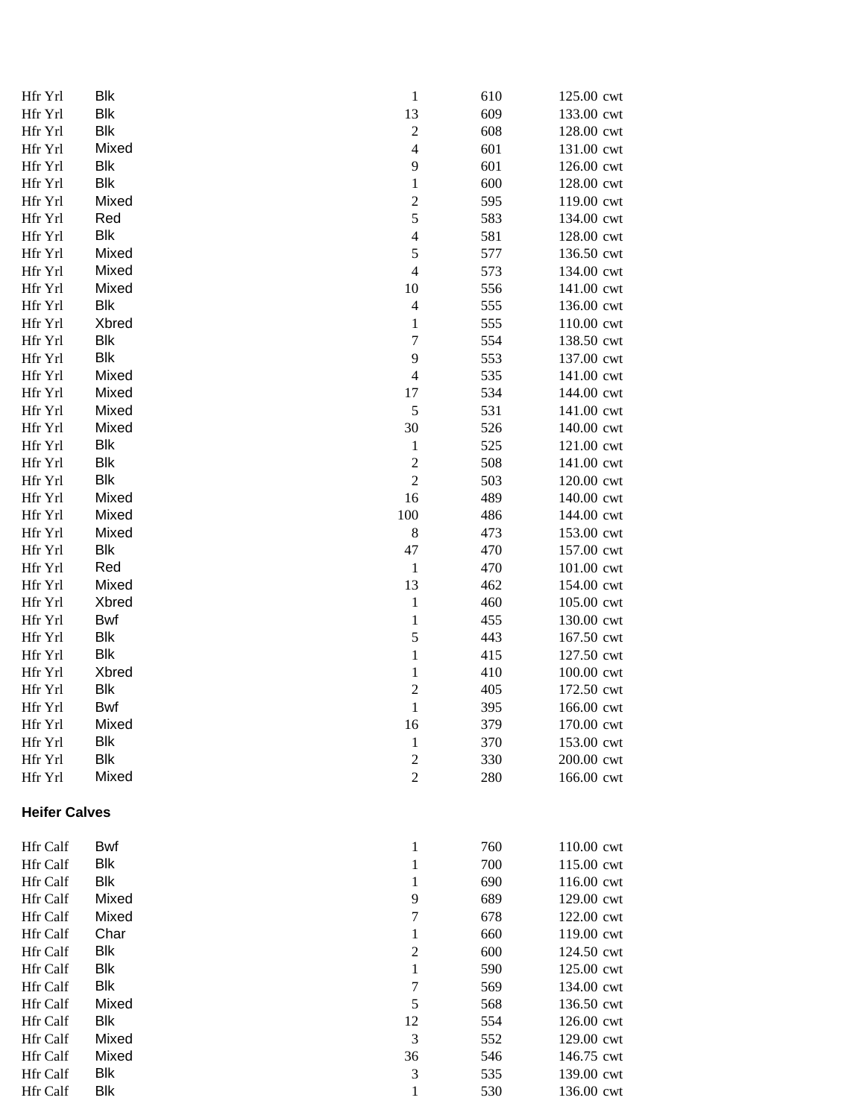| Hfr Yrl              | <b>Blk</b>   | $\mathbf{1}$     | 610        | 125.00 cwt               |
|----------------------|--------------|------------------|------------|--------------------------|
| Hfr Yrl              | <b>Blk</b>   | 13               | 609        | 133.00 cwt               |
| Hfr Yrl              | <b>Blk</b>   | $\sqrt{2}$       | 608        | 128.00 cwt               |
| Hfr Yrl              | Mixed        | $\overline{4}$   | 601        | 131.00 cwt               |
| Hfr Yrl              | Blk          | 9                | 601        | 126.00 cwt               |
| Hfr Yrl              | Blk          | $\mathbf{1}$     | 600        | 128.00 cwt               |
| Hfr Yrl              | Mixed        | $\boldsymbol{2}$ | 595        | 119.00 cwt               |
| Hfr Yrl              | Red          | 5                | 583        | 134.00 cwt               |
| Hfr Yrl              | Blk          | $\overline{4}$   | 581        | 128.00 cwt               |
| Hfr Yrl              | Mixed        | $\sqrt{5}$       | 577        | 136.50 cwt               |
| Hfr Yrl              | Mixed        | $\overline{4}$   | 573        | 134.00 cwt               |
| Hfr Yrl              | Mixed        | 10               | 556        | 141.00 cwt               |
| Hfr Yrl              | Blk          | $\overline{4}$   | 555        | 136.00 cwt               |
| Hfr Yrl              | Xbred        | $\mathbf{1}$     | 555        | 110.00 cwt               |
| Hfr Yrl              | Blk          | $\tau$           | 554        | 138.50 cwt               |
| Hfr Yrl              | Blk          | 9                | 553        | 137.00 cwt               |
| Hfr Yrl              | Mixed        | $\overline{4}$   | 535        | 141.00 cwt               |
| Hfr Yrl              | Mixed        | 17               | 534        | 144.00 cwt               |
| Hfr Yrl              | Mixed        | 5                | 531        | 141.00 cwt               |
| Hfr Yrl              | Mixed        | 30               | 526        | 140.00 cwt               |
| Hfr Yrl              | <b>Blk</b>   | $\mathbf{1}$     | 525        | 121.00 cwt               |
| Hfr Yrl              | Blk          | $\boldsymbol{2}$ | 508        | 141.00 cwt               |
| Hfr Yrl              | <b>Blk</b>   | $\mathfrak{2}$   | 503        | 120.00 cwt               |
| Hfr Yrl              | Mixed        | 16               | 489        | 140.00 cwt               |
| Hfr Yrl              | Mixed        | 100              | 486        | 144.00 cwt               |
| Hfr Yrl              | Mixed<br>Blk | $\,8\,$<br>47    | 473<br>470 | 153.00 cwt               |
| Hfr Yrl<br>Hfr Yrl   | Red          | $\mathbf{1}$     | 470        | 157.00 cwt               |
| Hfr Yrl              | Mixed        | 13               | 462        | 101.00 cwt<br>154.00 cwt |
| Hfr Yrl              | Xbred        | $\mathbf{1}$     | 460        | 105.00 cwt               |
| Hfr Yrl              | <b>Bwf</b>   | $\mathbf{1}$     | 455        | 130.00 cwt               |
| Hfr Yrl              | Blk          | $\sqrt{5}$       | 443        | 167.50 cwt               |
| Hfr Yrl              | Blk          | $\mathbf{1}$     | 415        | 127.50 cwt               |
| Hfr Yrl              | Xbred        | $\mathbf{1}$     | 410        | 100.00 cwt               |
| Hfr Yrl              | <b>Blk</b>   | $\overline{c}$   | 405        | 172.50 cwt               |
| Hfr Yrl              | <b>Bwf</b>   | $\mathbf{1}$     | 395        | 166.00 cwt               |
| Hfr Yrl              | Mixed        | 16               | 379        | 170.00 cwt               |
| Hfr Yrl              | Blk          | $\mathbf{1}$     | 370        | 153.00 cwt               |
| Hfr Yrl              | <b>Blk</b>   | $\mathfrak{2}$   | 330        | 200.00 cwt               |
| Hfr Yrl              | Mixed        | $\mathfrak{2}$   | 280        | 166.00 cwt               |
| <b>Heifer Calves</b> |              |                  |            |                          |
| <b>Hfr Calf</b>      | Bwf          | $\mathbf{1}$     | 760        | 110.00 cwt               |
| <b>Hfr Calf</b>      | Blk          | 1                | 700        | 115.00 cwt               |
| <b>Hfr Calf</b>      | <b>Blk</b>   | $\mathbf{1}$     | 690        | 116.00 cwt               |
| <b>Hfr Calf</b>      | Mixed        | 9                | 689        | 129.00 cwt               |
| <b>Hfr Calf</b>      | Mixed        | $\tau$           | 678        | 122.00 cwt               |
| <b>Hfr Calf</b>      | Char         | $\mathbf{1}$     | 660        | 119.00 cwt               |
| Hfr Calf             | Blk          | $\mathfrak{2}$   | 600        | 124.50 cwt               |
| Hfr Calf             | <b>Blk</b>   | 1                | 590        | 125.00 cwt               |
| <b>Hfr Calf</b>      | <b>Blk</b>   | $\tau$           | 569        | 134.00 cwt               |
| <b>Hfr Calf</b>      | Mixed        | 5                | 568        | 136.50 cwt               |
| <b>Hfr Calf</b>      | <b>Blk</b>   | 12               | 554        | 126.00 cwt               |
| Hfr Calf             | Mixed        | 3                | 552        | 129.00 cwt               |
| <b>Hfr Calf</b>      | Mixed        | 36               | 546        | 146.75 cwt               |
| <b>Hfr Calf</b>      | Blk          | 3                | 535        | 139.00 cwt               |
| Hfr Calf             | Blk          | 1                | 530        | 136.00 cwt               |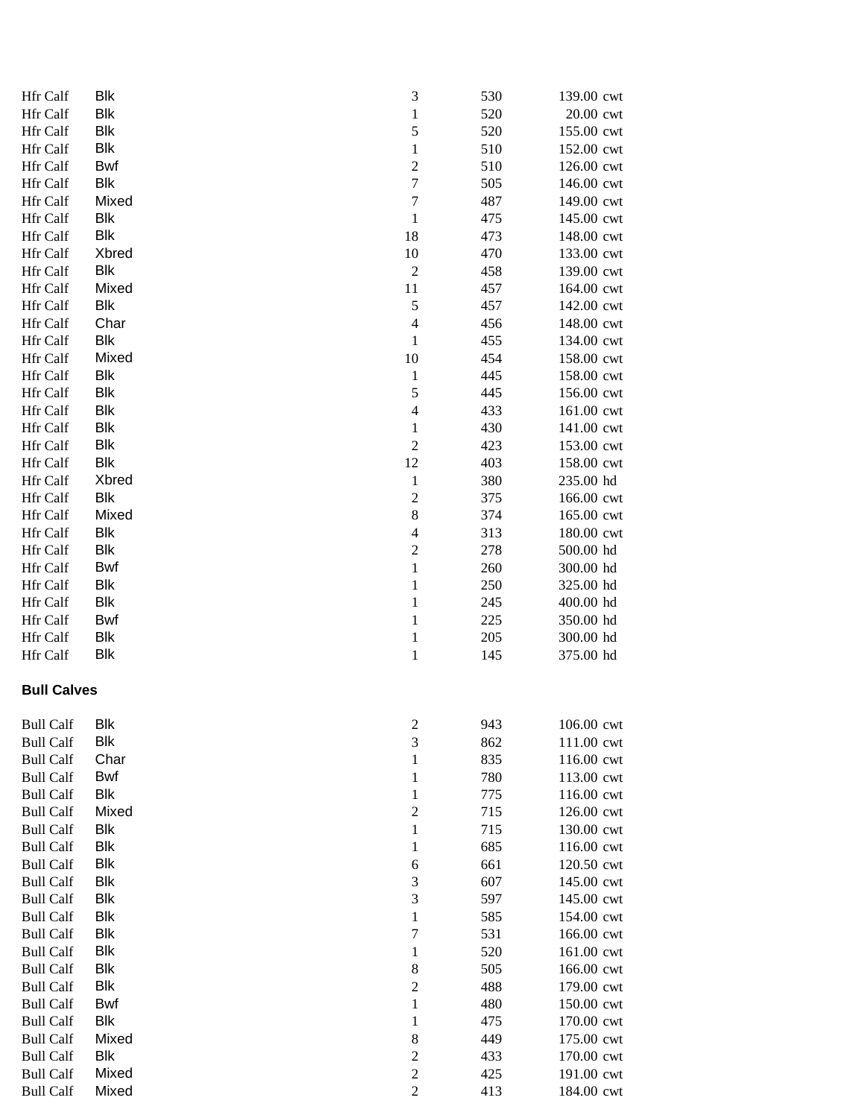| Hfr Calf             | Blk        | 3                              | 530 | 139.00 cwt |
|----------------------|------------|--------------------------------|-----|------------|
| Hfr Calf             | Blk        | 1                              | 520 | 20.00 cwt  |
| Hfr Calf             | <b>Blk</b> | 5                              | 520 | 155.00 cwt |
| Hfr Calf             | Blk        | $\mathbf{1}$                   | 510 | 152.00 cwt |
| Hfr Calf             | Bwf        | $\overline{c}$                 | 510 | 126.00 cwt |
| Hfr Calf             | Blk        | $\overline{7}$                 | 505 | 146.00 cwt |
| Hfr Calf             | Mixed      | 7                              | 487 | 149.00 cwt |
| Hfr Calf             | Blk        | $\,1\,$                        | 475 | 145.00 cwt |
| Hfr Calf             | Blk        | 18                             | 473 | 148.00 cwt |
| <b>Hfr Calf</b>      | Xbred      | 10                             | 470 | 133.00 cwt |
| Hfr Calf             | Blk        | $\sqrt{2}$                     | 458 | 139.00 cwt |
| Hfr Calf             | Mixed      | 11                             | 457 | 164.00 cwt |
| Hfr Calf             | <b>Blk</b> | 5                              | 457 | 142.00 cwt |
| Hfr Calf             | Char       | $\overline{4}$                 | 456 | 148.00 cwt |
| Hfr Calf             | <b>Blk</b> | $\mathbf{1}$                   | 455 | 134.00 cwt |
| Hfr Calf             | Mixed      | 10                             | 454 | 158.00 cwt |
| <b>Hfr Calf</b>      | Blk        | $\mathbf{1}$                   | 445 | 158.00 cwt |
| Hfr Calf             | <b>Blk</b> | 5                              | 445 | 156.00 cwt |
| <b>Hfr Calf</b>      | <b>Blk</b> | $\overline{4}$                 | 433 | 161.00 cwt |
| Hfr Calf             | <b>Blk</b> | $\mathbf{1}$                   | 430 | 141.00 cwt |
| <b>Hfr Calf</b>      | Blk        | $\boldsymbol{2}$               | 423 | 153.00 cwt |
| Hfr Calf             | <b>Blk</b> | 12                             | 403 | 158.00 cwt |
| Hfr Calf             | Xbred      |                                | 380 | 235.00 hd  |
| Hfr Calf             | <b>Blk</b> | $\mathbf{1}$<br>$\overline{c}$ | 375 | 166.00 cwt |
|                      | Mixed      | 8                              | 374 | 165.00 cwt |
| Hfr Calf<br>Hfr Calf | <b>Blk</b> | $\overline{4}$                 | 313 |            |
| Hfr Calf             | <b>Blk</b> | $\overline{2}$                 | 278 | 180.00 cwt |
|                      |            |                                |     | 500.00 hd  |
| Hfr Calf             | Bwf        | $\mathbf 1$                    | 260 | 300.00 hd  |
| Hfr Calf             | Blk        | $\mathbf 1$                    | 250 | 325.00 hd  |
| Hfr Calf             | <b>Blk</b> | $\mathbf 1$                    | 245 | 400.00 hd  |
| Hfr Calf             | Bwf        | $\mathbf 1$                    | 225 | 350.00 hd  |
| Hfr Calf             | Blk        | $\mathbf 1$                    | 205 | 300.00 hd  |
| Hfr Calf             | Blk        | $\mathbf{1}$                   | 145 | 375.00 hd  |
| <b>Bull Calves</b>   |            |                                |     |            |
| <b>Bull Calf</b>     | Blk        | $\overline{c}$                 | 943 | 106.00 cwt |
| <b>Bull Calf</b>     | <b>Blk</b> | 3                              | 862 | 111.00 cwt |
| <b>Bull Calf</b>     | Char       | 1                              | 835 | 116.00 cwt |
| <b>Bull Calf</b>     | Bwf        | $\mathbf 1$                    | 780 | 113.00 cwt |
| <b>Bull Calf</b>     | Blk        | $\mathbf 1$                    | 775 | 116.00 cwt |
| <b>Bull Calf</b>     | Mixed      | $\overline{c}$                 | 715 | 126.00 cwt |
| Bull Calf            | Blk        | $\,1$                          | 715 | 130.00 cwt |
| Bull Calf            | <b>Blk</b> | $\mathbf 1$                    | 685 | 116.00 cwt |
| Bull Calf            | <b>Blk</b> | 6                              | 661 | 120.50 cwt |
| <b>Bull Calf</b>     | <b>Blk</b> | 3                              | 607 | 145.00 cwt |
| <b>Bull Calf</b>     | <b>Blk</b> | 3                              | 597 | 145.00 cwt |
| Bull Calf            | <b>Blk</b> |                                | 585 | 154.00 cwt |
|                      | Blk        | $\mathbf 1$                    | 531 |            |
| <b>Bull Calf</b>     | Blk        | 7                              |     | 166.00 cwt |
| <b>Bull Calf</b>     |            | 1                              | 520 | 161.00 cwt |
| <b>Bull Calf</b>     | Blk        | 8                              | 505 | 166.00 cwt |
| Bull Calf            | Blk        | $\overline{c}$                 | 488 | 179.00 cwt |
| Bull Calf            | Bwf        | 1                              | 480 | 150.00 cwt |
| <b>Bull Calf</b>     | Blk        | $\mathbf 1$                    | 475 | 170.00 cwt |
| <b>Bull Calf</b>     | Mixed      | 8                              | 449 | 175.00 cwt |
| <b>Bull Calf</b>     | Blk        | $\overline{\mathbf{c}}$        | 433 | 170.00 cwt |
| Bull Calf            | Mixed      | $\boldsymbol{2}$               | 425 | 191.00 cwt |
| <b>Bull Calf</b>     | Mixed      | $\overline{2}$                 | 413 | 184.00 cwt |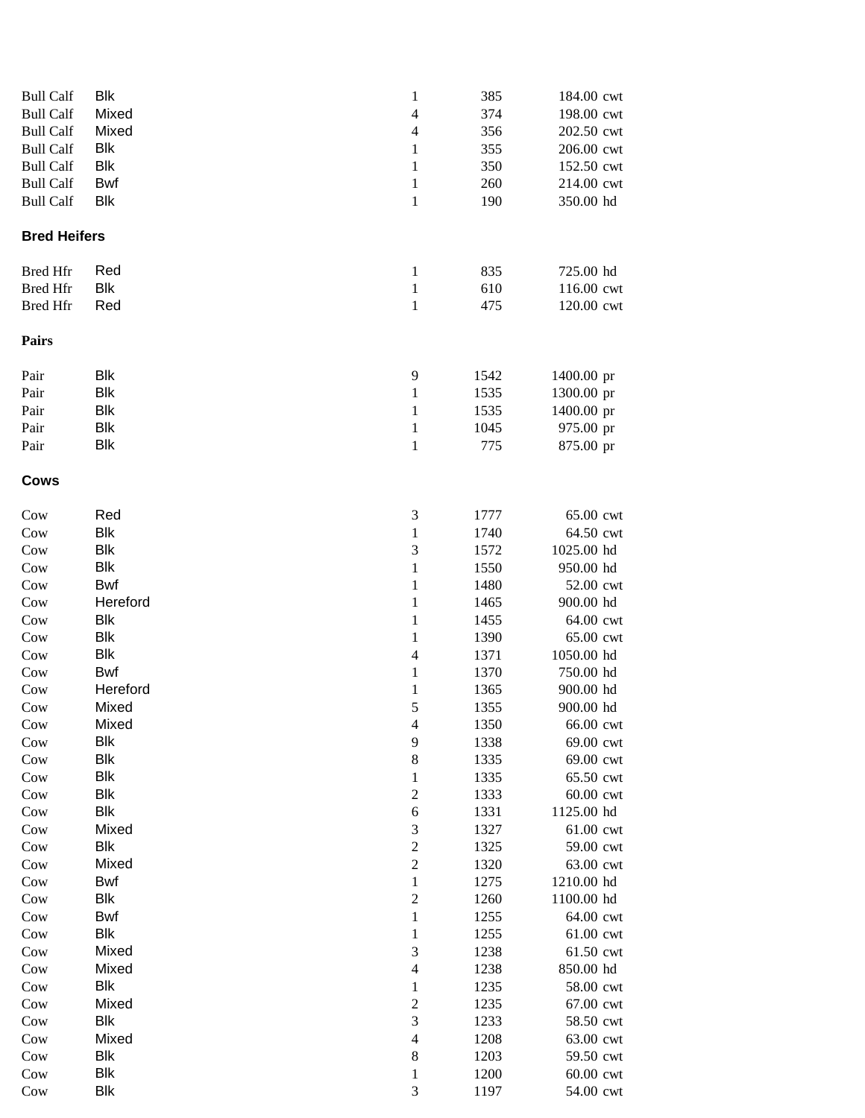| Bull Calf           | Blk        | 1              | 385  | 184.00 cwt |
|---------------------|------------|----------------|------|------------|
| <b>Bull Calf</b>    | Mixed      | 4              | 374  | 198.00 cwt |
| <b>Bull Calf</b>    | Mixed      | 4              | 356  | 202.50 cwt |
| <b>Bull Calf</b>    | Blk        | 1              | 355  | 206.00 cwt |
| <b>Bull Calf</b>    | <b>Blk</b> | 1              | 350  | 152.50 cwt |
| <b>Bull Calf</b>    | Bwf        | 1              | 260  | 214.00 cwt |
| <b>Bull Calf</b>    | <b>Blk</b> | $\mathbf{1}$   | 190  | 350.00 hd  |
| <b>Bred Heifers</b> |            |                |      |            |
|                     |            |                |      |            |
| Bred Hfr            | Red        | $\mathbf{1}$   | 835  | 725.00 hd  |
| <b>Bred Hfr</b>     | Blk        | $\mathbf{1}$   | 610  | 116.00 cwt |
| <b>Bred Hfr</b>     | Red        | $\mathbf{1}$   | 475  | 120.00 cwt |
| Pairs               |            |                |      |            |
| Pair                | Blk        | 9              | 1542 | 1400.00 pr |
| Pair                | <b>Blk</b> | $\mathbf{1}$   | 1535 | 1300.00 pr |
| Pair                | Blk        | 1              | 1535 | 1400.00 pr |
| Pair                | Blk        | $\mathbf{1}$   | 1045 | 975.00 pr  |
| Pair                | <b>Blk</b> | 1              | 775  | 875.00 pr  |
| Cows                |            |                |      |            |
| Cow                 | Red        | 3              | 1777 | 65.00 cwt  |
| Cow                 | <b>Blk</b> | $\mathbf{1}$   | 1740 | 64.50 cwt  |
| Cow                 | <b>Blk</b> | 3              | 1572 | 1025.00 hd |
|                     | <b>Blk</b> |                |      |            |
| Cow                 |            | $\mathbf{1}$   | 1550 | 950.00 hd  |
| Cow                 | Bwf        | 1              | 1480 | 52.00 cwt  |
| Cow                 | Hereford   | 1              | 1465 | 900.00 hd  |
| Cow                 | Blk        | 1              | 1455 | 64.00 cwt  |
| Cow                 | Blk        | 1              | 1390 | 65.00 cwt  |
| Cow                 | <b>Blk</b> | 4              | 1371 | 1050.00 hd |
| Cow                 | Bwf        | 1              | 1370 | 750.00 hd  |
| Cow                 | Hereford   | 1              | 1365 | 900.00 hd  |
| Cow                 | Mixed      | 5              | 1355 | 900.00 hd  |
| Cow                 | Mixed      | $\overline{4}$ | 1350 | 66.00 cwt  |
| Cow                 | Blk        | 9              | 1338 | 69.00 cwt  |
| Cow                 | Blk        | 8              | 1335 | 69.00 cwt  |
| Cow                 | Blk        | $\mathbf{1}$   | 1335 | 65.50 cwt  |
| Cow                 | <b>Blk</b> | $\mathfrak{2}$ | 1333 | 60.00 cwt  |
| Cow                 | <b>Blk</b> | 6              | 1331 | 1125.00 hd |
| Cow                 | Mixed      | 3              | 1327 | 61.00 cwt  |
| Cow                 | Blk        | $\overline{2}$ | 1325 | 59.00 cwt  |
| Cow                 | Mixed      | $\overline{2}$ | 1320 | 63.00 cwt  |
| Cow                 | Bwf        | $\mathbf{1}$   | 1275 | 1210.00 hd |
| Cow                 | Blk        | $\mathfrak{2}$ | 1260 | 1100.00 hd |
| Cow                 | <b>Bwf</b> | $\mathbf{1}$   | 1255 | 64.00 cwt  |
| Cow                 | Blk        | 1              | 1255 | 61.00 cwt  |
| Cow                 | Mixed      | 3              | 1238 | 61.50 cwt  |
| Cow                 | Mixed      | $\overline{4}$ | 1238 | 850.00 hd  |
| Cow                 | Blk        | 1              | 1235 | 58.00 cwt  |
| Cow                 | Mixed      | $\overline{2}$ | 1235 | 67.00 cwt  |
| Cow                 | Blk        | 3              | 1233 | 58.50 cwt  |
| Cow                 | Mixed      | $\overline{4}$ | 1208 | 63.00 cwt  |
| Cow                 | Blk        | 8              | 1203 | 59.50 cwt  |
| Cow                 | Blk        | $\mathbf{1}$   | 1200 | 60.00 cwt  |
| Cow                 | <b>Blk</b> | 3              | 1197 | 54.00 cwt  |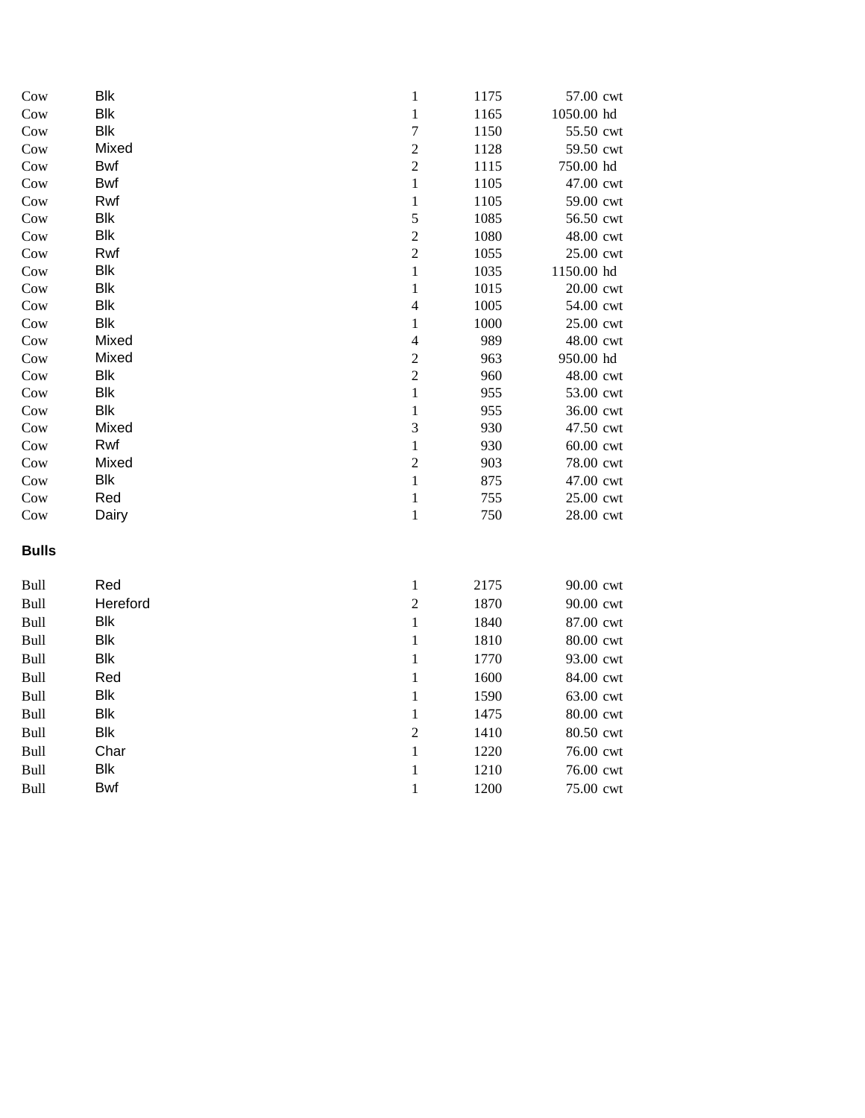| Cow          | <b>Blk</b> | $\mathbf{1}$             | 1175 | 57.00 cwt  |
|--------------|------------|--------------------------|------|------------|
| Cow          | <b>Blk</b> | $\,1$                    | 1165 | 1050.00 hd |
| Cow          | <b>Blk</b> | $\sqrt{ }$               | 1150 | 55.50 cwt  |
| Cow          | Mixed      | $\overline{c}$           | 1128 | 59.50 cwt  |
| Cow          | Bwf        | $\overline{c}$           | 1115 | 750.00 hd  |
| Cow          | <b>Bwf</b> | $\mathbf{1}$             | 1105 | 47.00 cwt  |
| Cow          | Rwf        | $\,1$                    | 1105 | 59.00 cwt  |
| Cow          | <b>Blk</b> | 5                        | 1085 | 56.50 cwt  |
| Cow          | <b>Blk</b> | $\overline{c}$           | 1080 | 48.00 cwt  |
| Cow          | Rwf        | $\overline{c}$           | 1055 | 25.00 cwt  |
| Cow          | <b>Blk</b> | $\,1$                    | 1035 | 1150.00 hd |
| Cow          | <b>Blk</b> | $\,1$                    | 1015 | 20.00 cwt  |
| Cow          | <b>Blk</b> | $\overline{4}$           | 1005 | 54.00 cwt  |
| Cow          | <b>Blk</b> | $\,1$                    | 1000 | 25.00 cwt  |
| Cow          | Mixed      | $\overline{\mathcal{L}}$ | 989  | 48.00 cwt  |
| Cow          | Mixed      | $\overline{\mathbf{c}}$  | 963  | 950.00 hd  |
| Cow          | <b>Blk</b> | $\overline{c}$           | 960  | 48.00 cwt  |
| Cow          | <b>Blk</b> | $\,1$                    | 955  | 53.00 cwt  |
| Cow          | <b>Blk</b> | $\,1$                    | 955  | 36.00 cwt  |
| Cow          | Mixed      | 3                        | 930  | 47.50 cwt  |
| Cow          | Rwf        | $\,1$                    | 930  | 60.00 cwt  |
| Cow          | Mixed      | $\overline{c}$           | 903  | 78.00 cwt  |
| Cow          | <b>Blk</b> | $\,1$                    | 875  | 47.00 cwt  |
| Cow          | Red        | $\,1$                    | 755  | 25.00 cwt  |
| Cow          | Dairy      | $\,1$                    | 750  | 28.00 cwt  |
| <b>Bulls</b> |            |                          |      |            |
| Bull         | Red        | $\mathbf{1}$             | 2175 | 90.00 cwt  |
| Bull         | Hereford   | $\overline{c}$           | 1870 | 90.00 cwt  |
| Bull         | <b>Blk</b> | $\,1$                    | 1840 | 87.00 cwt  |
| Bull         | <b>Blk</b> | $\,1$                    | 1810 | 80.00 cwt  |
| Bull         | <b>Blk</b> | $\,1\,$                  | 1770 | 93.00 cwt  |
| Bull         | Red        | $\,1$                    | 1600 | 84.00 cwt  |
| Bull         | <b>Blk</b> | $\,1$                    | 1590 | 63.00 cwt  |
| Bull         | <b>Blk</b> | $\mathbf{1}$             | 1475 | 80.00 cwt  |
| Bull         | <b>Blk</b> | $\overline{c}$           | 1410 | 80.50 cwt  |
| Bull         | Char       | $\,1$                    | 1220 | 76.00 cwt  |
| Bull         | <b>Blk</b> | $\,1$                    | 1210 | 76.00 cwt  |
| Bull         | <b>Bwf</b> | $\,1$                    | 1200 | 75.00 cwt  |
|              |            |                          |      |            |